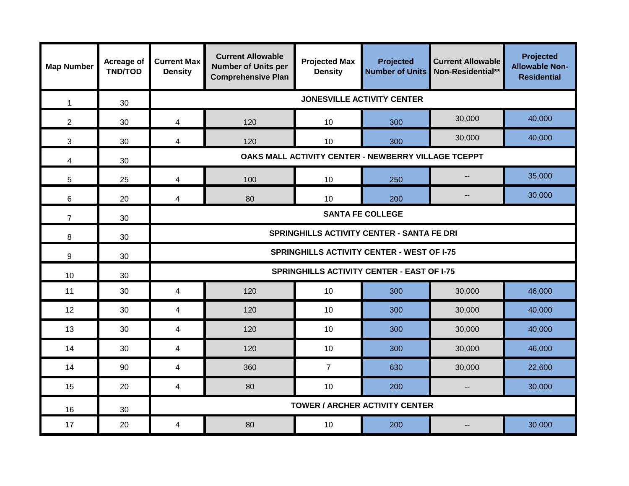| <b>Map Number</b> | Acreage of<br><b>TND/TOD</b> | <b>Current Max</b><br><b>Density</b>                | <b>Current Allowable</b><br><b>Number of Units per</b><br><b>Comprehensive Plan</b> | <b>Projected Max</b><br><b>Density</b> | Projected<br><b>Number of Units</b> | <b>Current Allowable</b><br>Non-Residential** | Projected<br><b>Allowable Non-</b><br><b>Residential</b> |  |  |
|-------------------|------------------------------|-----------------------------------------------------|-------------------------------------------------------------------------------------|----------------------------------------|-------------------------------------|-----------------------------------------------|----------------------------------------------------------|--|--|
| $\mathbf{1}$      | 30                           | <b>JONESVILLE ACTIVITY CENTER</b>                   |                                                                                     |                                        |                                     |                                               |                                                          |  |  |
| $\overline{2}$    | 30                           | $\overline{4}$                                      | 120                                                                                 | 10                                     | 300                                 | 30,000                                        | 40,000                                                   |  |  |
| 3                 | 30                           | $\overline{4}$                                      | 120                                                                                 | 10                                     | 300                                 | 30,000                                        | 40,000                                                   |  |  |
| 4                 | 30                           | OAKS MALL ACTIVITY CENTER - NEWBERRY VILLAGE TCEPPT |                                                                                     |                                        |                                     |                                               |                                                          |  |  |
| $\sqrt{5}$        | 25                           | $\overline{\mathbf{4}}$                             | 100                                                                                 | 10                                     | 250                                 | $\overline{\phantom{a}}$                      | 35,000                                                   |  |  |
| $6\phantom{1}$    | 20                           | $\overline{4}$                                      | 80                                                                                  | 10                                     | 200                                 | $-$                                           | 30,000                                                   |  |  |
| $\overline{7}$    | 30                           | <b>SANTA FE COLLEGE</b>                             |                                                                                     |                                        |                                     |                                               |                                                          |  |  |
| 8                 | 30                           | <b>SPRINGHILLS ACTIVITY CENTER - SANTA FE DRI</b>   |                                                                                     |                                        |                                     |                                               |                                                          |  |  |
| 9                 | 30                           | <b>SPRINGHILLS ACTIVITY CENTER - WEST OF I-75</b>   |                                                                                     |                                        |                                     |                                               |                                                          |  |  |
| 10                | 30                           | <b>SPRINGHILLS ACTIVITY CENTER - EAST OF I-75</b>   |                                                                                     |                                        |                                     |                                               |                                                          |  |  |
| 11                | 30                           | $\overline{4}$                                      | 120                                                                                 | 10                                     | 300                                 | 30,000                                        | 46,000                                                   |  |  |
| 12                | 30                           | $\overline{4}$                                      | 120                                                                                 | 10                                     | 300                                 | 30,000                                        | 40,000                                                   |  |  |
| 13                | 30                           | $\overline{4}$                                      | 120                                                                                 | 10                                     | 300                                 | 30,000                                        | 40,000                                                   |  |  |
| 14                | 30                           | 4                                                   | 120                                                                                 | 10                                     | 300                                 | 30,000                                        | 46,000                                                   |  |  |
| 14                | 90                           | $\overline{4}$                                      | 360                                                                                 | $\overline{7}$                         | 630                                 | 30,000                                        | 22,600                                                   |  |  |
| 15                | 20                           | 4                                                   | 80                                                                                  | 10                                     | 200                                 | $\overline{\phantom{a}}$                      | 30,000                                                   |  |  |
| 16                | 30                           | <b>TOWER / ARCHER ACTIVITY CENTER</b>               |                                                                                     |                                        |                                     |                                               |                                                          |  |  |
| 17                | 20                           | $\overline{4}$                                      | 80                                                                                  | 10                                     | 200                                 |                                               | 30,000                                                   |  |  |